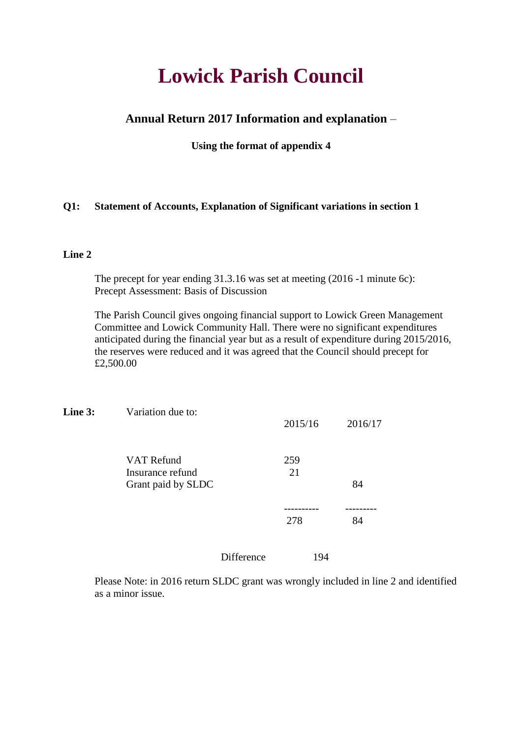# **Lowick Parish Council**

## **Annual Return 2017 Information and explanation** –

**Using the format of appendix 4**

### **Q1: Statement of Accounts, Explanation of Significant variations in section 1**

## **Line 2**

The precept for year ending 31.3.16 was set at meeting (2016 -1 minute 6c): Precept Assessment: Basis of Discussion

The Parish Council gives ongoing financial support to Lowick Green Management Committee and Lowick Community Hall. There were no significant expenditures anticipated during the financial year but as a result of expenditure during 2015/2016, the reserves were reduced and it was agreed that the Council should precept for £2,500.00

| Line 3: | Variation due to:                                           |            | 2015/16   |     | 2016/17 |
|---------|-------------------------------------------------------------|------------|-----------|-----|---------|
|         | <b>VAT Refund</b><br>Insurance refund<br>Grant paid by SLDC |            | 259<br>21 |     | 84      |
|         |                                                             |            | 278       |     | 84      |
|         |                                                             | Difference |           | 194 |         |

Please Note: in 2016 return SLDC grant was wrongly included in line 2 and identified as a minor issue.